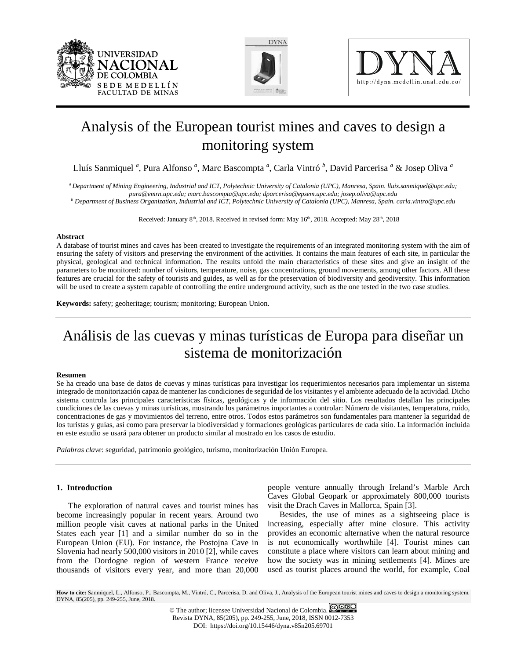





# Analysis of the European tourist mines and caves to design a monitoring system

Lluís Sanmiquel *<sup>a</sup>* , Pura Alfonso *<sup>a</sup>* , Marc Bascompta *<sup>a</sup>* , Carla Vintró *<sup>b</sup>* , David Parcerisa *<sup>a</sup>* & Josep Oliva *<sup>a</sup>*

*a Department of Mining Engineering, Industrial and ICT, Polytechnic University of Catalonia (UPC), Manresa, Spain. lluis.sanmiquel@upc.edu; pura@emrn.upc.edu; marc.bascompta@upc.edu; dparcerisa@epsem.upc.edu; josep.oliva@upc.edu*

*<sup>b</sup> Department of Business Organization, Industrial and ICT, Polytechnic University of Catalonia (UPC), Manresa, Spain. carla.vintro@upc.edu*

Received: January  $8<sup>th</sup>$ , 2018. Received in revised form: May  $16<sup>th</sup>$ , 2018. Accepted: May  $28<sup>th</sup>$ , 2018

#### **Abstract**

A database of tourist mines and caves has been created to investigate the requirements of an integrated monitoring system with the aim of ensuring the safety of visitors and preserving the environment of the activities. It contains the main features of each site, in particular the physical, geological and technical information. The results unfold the main characteristics of these sites and give an insight of the parameters to be monitored: number of visitors, temperature, noise, gas concentrations, ground movements, among other factors. All these features are crucial for the safety of tourists and guides, as well as for the preservation of biodiversity and geodiversity. This information will be used to create a system capable of controlling the entire underground activity, such as the one tested in the two case studies.

**Keywords:** safety; geoheritage; tourism; monitoring; European Union.

# Análisis de las cuevas y minas turísticas de Europa para diseñar un sistema de monitorización

## **Resumen**

Se ha creado una base de datos de cuevas y minas turísticas para investigar los requerimientos necesarios para implementar un sistema integrado de monitorización capaz de mantener las condiciones de seguridad de los visitantes y el ambiente adecuado de la actividad. Dicho sistema controla las principales características físicas, geológicas y de información del sitio. Los resultados detallan las principales condiciones de las cuevas y minas turísticas, mostrando los parámetros importantes a controlar: Número de visitantes, temperatura, ruido, concentraciones de gas y movimientos del terreno, entre otros. Todos estos parámetros son fundamentales para mantener la seguridad de los turistas y guías, así como para preservar la biodiversidad y formaciones geológicas particulares de cada sitio. La información incluida en este estudio se usará para obtener un producto similar al mostrado en los casos de estudio.

*Palabras clave*: seguridad, patrimonio geológico, turismo, monitorización Unión Europea.

# **1. Introduction**

 $\overline{a}$ 

The exploration of natural caves and tourist mines has become increasingly popular in recent years. Around two million people visit caves at national parks in the United States each year [1] and a similar number do so in the European Union (EU). For instance, the Postojna Cave in Slovenia had nearly 500,000 visitors in 2010 [2], while caves from the Dordogne region of western France receive thousands of visitors every year, and more than 20,000

people venture annually through Ireland's Marble Arch Caves Global Geopark or approximately 800,000 tourists visit the Drach Caves in Mallorca, Spain [3].

Besides, the use of mines as a sightseeing place is increasing, especially after mine closure. This activity provides an economic alternative when the natural resource is not economically worthwhile [4]. Tourist mines can constitute a place where visitors can learn about mining and how the society was in mining settlements [4]. Mines are used as tourist places around the world, for example, Coal

<span id="page-0-0"></span>**How to cite:** Sanmiquel, L., Alfonso, P., Bascompta, M., Vintró, C., Parcerisa, D. and Oliva, J., Analysis of the European tourist mines and caves to design a monitoring system. DYNA, 85(205), pp. 249-255, June, 2018.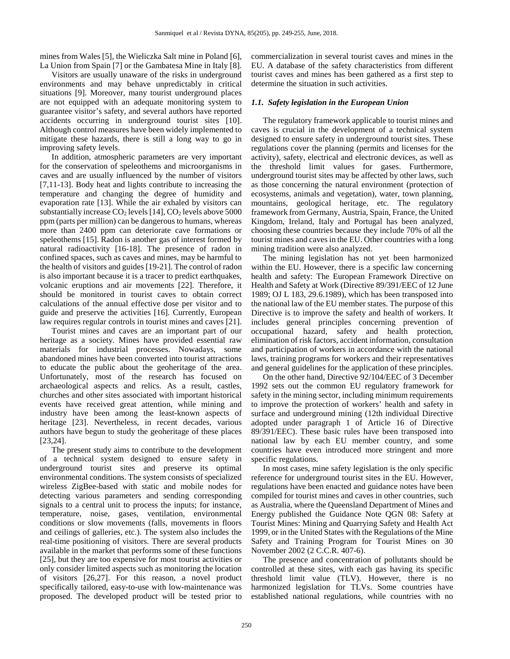mines from Wales [5], the Wieliczka Salt mine in Poland [6], La Union from Spain [7] or the Gambatesa Mine in Italy [8].

Visitors are usually unaware of the risks in underground environments and may behave unpredictably in critical situations [9]. Moreover, many tourist underground places are not equipped with an adequate monitoring system to guarantee visitor's safety, and several authors have reported accidents occurring in underground tourist sites [10]. Although control measures have been widely implemented to mitigate these hazards, there is still a long way to go in improving safety levels.

In addition, atmospheric parameters are very important for the conservation of speleothems and microorganisms in caves and are usually influenced by the number of visitors [7,11-13]. Body heat and lights contribute to increasing the temperature and changing the degree of humidity and evaporation rate [13]. While the air exhaled by visitors can substantially increase  $CO<sub>2</sub>$  levels [14],  $CO<sub>2</sub>$  levels above 5000 ppm (parts per million) can be dangerous to humans, whereas more than 2400 ppm can deteriorate cave formations or speleothems [15]. Radon is another gas of interest formed by natural radioactivity [16-18]. The presence of radon in confined spaces, such as caves and mines, may be harmful to the health of visitors and guides [19-21]. The control of radon is also important because it is a tracer to predict earthquakes, volcanic eruptions and air movements [22]. Therefore, it should be monitored in tourist caves to obtain correct calculations of the annual effective dose per visitor and to guide and preserve the activities [16]. Currently, European law requires regular controls in tourist mines and caves [21].

Tourist mines and caves are an important part of our heritage as a society. Mines have provided essential raw materials for industrial processes. Nowadays, some abandoned mines have been converted into tourist attractions to educate the public about the geoheritage of the area. Unfortunately, most of the research has focused on archaeological aspects and relics. As a result, castles, churches and other sites associated with important historical events have received great attention, while mining and industry have been among the least-known aspects of heritage [23]. Nevertheless, in recent decades, various authors have begun to study the geoheritage of these places [23,24].

The present study aims to contribute to the development of a technical system designed to ensure safety in underground tourist sites and preserve its optimal environmental conditions. The system consists of specialized wireless ZigBee-based with static and mobile nodes for detecting various parameters and sending corresponding signals to a central unit to process the inputs; for instance, temperature, noise, gases, ventilation, environmental conditions or slow movements (falls, movements in floors and ceilings of galleries, etc.). The system also includes the real-time positioning of visitors. There are several products available in the market that performs some of these functions [25], but they are too expensive for most tourist activities or only consider limited aspects such as monitoring the location of visitors [26,27]. For this reason, a novel product specifically tailored, easy-to-use with low-maintenance was proposed. The developed product will be tested prior to

commercialization in several tourist caves and mines in the EU. A database of the safety characteristics from different tourist caves and mines has been gathered as a first step to determine the situation in such activities.

## *1.1. Safety legislation in the European Union*

The regulatory framework applicable to tourist mines and caves is crucial in the development of a technical system designed to ensure safety in underground tourist sites. These regulations cover the planning (permits and licenses for the activity), safety, electrical and electronic devices, as well as the threshold limit values for gases. Furthermore, underground tourist sites may be affected by other laws, such as those concerning the natural environment (protection of ecosystems, animals and vegetation), water, town planning, mountains, geological heritage, etc. The regulatory framework from Germany, Austria, Spain, France, the United Kingdom, Ireland, Italy and Portugal has been analyzed, choosing these countries because they include 70% of all the tourist mines and caves in the EU. Other countries with a long mining tradition were also analyzed.

The mining legislation has not yet been harmonized within the EU. However, there is a specific law concerning health and safety: The European Framework Directive on Health and Safety at Work (Directive 89/391/EEC of 12 June 1989; OJ L 183, 29.6.1989), which has been transposed into the national law of the EU member states. The purpose of this Directive is to improve the safety and health of workers. It includes general principles concerning prevention of occupational hazard, safety and health protection, elimination of risk factors, accident information, consultation and participation of workers in accordance with the national laws, training programs for workers and their representatives and general guidelines for the application of these principles.

On the other hand, Directive 92/104/EEC of 3 December 1992 sets out the common EU regulatory framework for safety in the mining sector, including minimum requirements to improve the protection of workers' health and safety in surface and underground mining (12th individual Directive adopted under paragraph 1 of Article 16 of Directive 89/391/EEC). These basic rules have been transposed into national law by each EU member country, and some countries have even introduced more stringent and more specific regulations.

In most cases, mine safety legislation is the only specific reference for underground tourist sites in the EU. However, regulations have been enacted and guidance notes have been compiled for tourist mines and caves in other countries, such as Australia, where the Queensland Department of Mines and Energy published the Guidance Note QGN 08: Safety at Tourist Mines: Mining and Quarrying Safety and Health Act 1999, or in the United States with the Regulations of the Mine Safety and Training Program for Tourist Mines on 30 November 2002 (2 C.C.R. 407-6).

The presence and concentration of pollutants should be controlled at these sites, with each gas having its specific threshold limit value (TLV). However, there is no harmonized legislation for TLVs. Some countries have established national regulations, while countries with no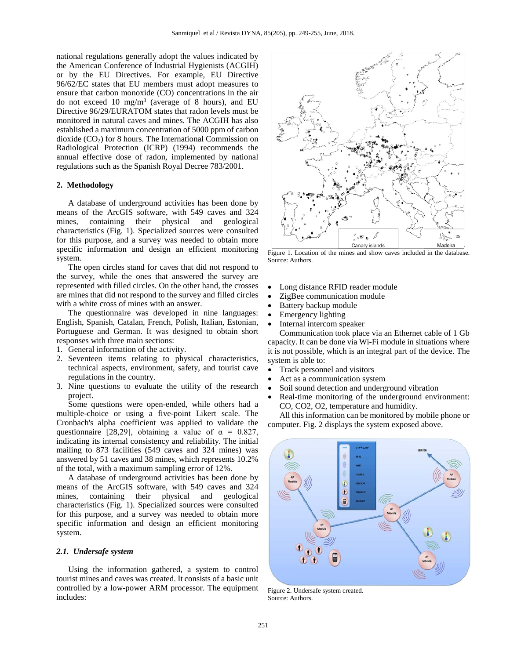national regulations generally adopt the values indicated by the American Conference of Industrial Hygienists (ACGIH) or by the EU Directives. For example, EU Directive 96/62/EC states that EU members must adopt measures to ensure that carbon monoxide (CO) concentrations in the air do not exceed 10 mg/m<sup>3</sup> (average of 8 hours), and EU Directive 96/29/EURATOM states that radon levels must be monitored in natural caves and mines. The ACGIH has also established a maximum concentration of 5000 ppm of carbon dioxide (CO2) for 8 hours. The International Commission on Radiological Protection (ICRP) (1994) recommends the annual effective dose of radon, implemented by national regulations such as the Spanish Royal Decree 783/2001.

# **2. Methodology**

A database of underground activities has been done by means of the ArcGIS software, with 549 caves and 324 mines, containing their physical and geological characteristics (Fig. 1). Specialized sources were consulted for this purpose, and a survey was needed to obtain more specific information and design an efficient monitoring system.

The open circles stand for caves that did not respond to the survey, while the ones that answered the survey are represented with filled circles. On the other hand, the crosses are mines that did not respond to the survey and filled circles with a white cross of mines with an answer.

The questionnaire was developed in nine languages: English, Spanish, Catalan, French, Polish, Italian, Estonian, Portuguese and German. It was designed to obtain short responses with three main sections:

- 1. General information of the activity.
- 2. Seventeen items relating to physical characteristics, technical aspects, environment, safety, and tourist cave regulations in the country.
- 3. Nine questions to evaluate the utility of the research project.

Some questions were open-ended, while others had a multiple-choice or using a five-point Likert scale. The Cronbach's alpha coefficient was applied to validate the questionnaire [28,29], obtaining a value of  $\alpha = 0.827$ , indicating its internal consistency and reliability. The initial mailing to 873 facilities (549 caves and 324 mines) was answered by 51 caves and 38 mines, which represents 10.2% of the total, with a maximum sampling error of 12%.

A database of underground activities has been done by means of the ArcGIS software, with 549 caves and 324 mines, containing their physical and geological characteristics (Fig. 1). Specialized sources were consulted for this purpose, and a survey was needed to obtain more specific information and design an efficient monitoring system.

## *2.1. Undersafe system*

Using the information gathered, a system to control tourist mines and caves was created. It consists of a basic unit controlled by a low-power ARM processor. The equipment includes:



Figure 1. Location of the mines and show caves included in the database. Source: Authors.

- Long distance RFID reader module
- ZigBee communication module
- Battery backup module
- Emergency lighting
- Internal intercom speaker

Communication took place via an Ethernet cable of 1 Gb capacity. It can be done via Wi-Fi module in situations where it is not possible, which is an integral part of the device. The system is able to:

- Track personnel and visitors
- Act as a communication system
- Soil sound detection and underground vibration
- Real-time monitoring of the underground environment: CO, CO2, O2, temperature and humidity.

All this information can be monitored by mobile phone or computer. Fig. 2 displays the system exposed above.



Figure 2. Undersafe system created. Source: Authors.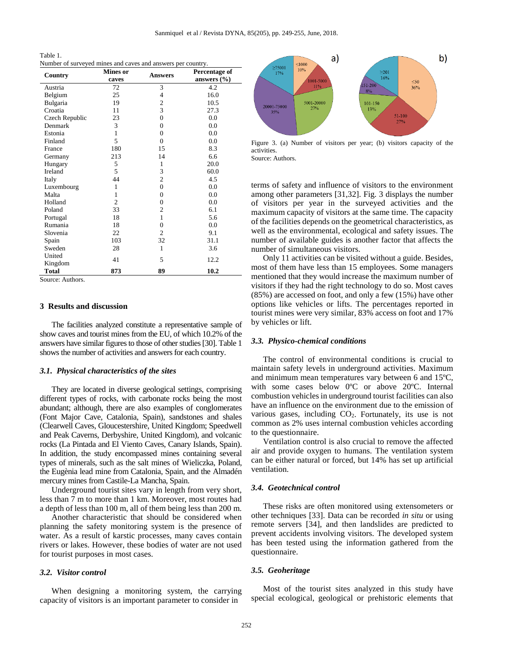| Table 1.                                                    |
|-------------------------------------------------------------|
| Number of surveyed mines and caves and answers per country. |

| Country        | <b>Mines or</b> | <b>Answers</b>   | <b>Percentage of</b> |
|----------------|-----------------|------------------|----------------------|
|                | caves           |                  | answers $(\% )$      |
| Austria        | 72              | 3                | 4.2                  |
| Belgium        | 25              | 4                | 16.0                 |
| Bulgaria       | 19              | 2                | 10.5                 |
| Croatia        | 11              | 3                | 27.3                 |
| Czech Republic | 23              | $\overline{0}$   | 0.0                  |
| Denmark        | 3               | $\boldsymbol{0}$ | 0.0                  |
| Estonia        | $\mathbf{1}$    | $\overline{0}$   | 0.0                  |
| Finland        | 5               | $\overline{0}$   | 0.0                  |
| France         | 180             | 15               | 8.3                  |
| Germany        | 213             | 14               | 6.6                  |
| Hungary        | 5               | 1                | 20.0                 |
| Ireland        | 5               | 3                | 60.0                 |
| Italy          | 44              | $\overline{c}$   | 4.5                  |
| Luxembourg     | 1               | $\boldsymbol{0}$ | 0.0                  |
| Malta          | 1               | $\overline{0}$   | 0.0                  |
| Holland        | $\overline{2}$  | $\overline{0}$   | 0.0                  |
| Poland         | 33              | $\overline{c}$   | 6.1                  |
| Portugal       | 18              | $\mathbf{1}$     | 5.6                  |
| Rumania        | 18              | $\mathbf{0}$     | 0.0                  |
| Slovenia       | 22              | 2                | 9.1                  |
| Spain          | 103             | 32               | 31.1                 |
| Sweden         | 28              | 1                | 3.6                  |
| United         | 41              | 5                |                      |
| Kingdom        |                 |                  | 12.2                 |
| <b>Total</b>   | 873             | 89               | 10.2                 |

Source: Authors.

#### **3 Results and discussion**

The facilities analyzed constitute a representative sample of show caves and tourist mines from the EU, of which 10.2% of the answers have similar figures to those of other studies [30]. Table 1 shows the number of activities and answers for each country.

#### *3.1. Physical characteristics of the sites*

They are located in diverse geological settings, comprising different types of rocks, with carbonate rocks being the most abundant; although, there are also examples of conglomerates (Font Major Cave, Catalonia, Spain), sandstones and shales (Clearwell Caves, Gloucestershire, United Kingdom; Speedwell and Peak Caverns, Derbyshire, United Kingdom), and volcanic rocks (La Pintada and El Viento Caves, Canary Islands, Spain). In addition, the study encompassed mines containing several types of minerals, such as the salt mines of Wieliczka, Poland, the Eugènia lead mine from Catalonia, Spain, and the Almadén mercury mines from Castile-La Mancha, Spain.

Underground tourist sites vary in length from very short, less than 7 m to more than 1 km. Moreover, most routes had a depth of less than 100 m, all of them being less than 200 m.

Another characteristic that should be considered when planning the safety monitoring system is the presence of water. As a result of karstic processes, many caves contain rivers or lakes. However, these bodies of water are not used for tourist purposes in most cases.

#### *3.2. Visitor control*

When designing a monitoring system, the carrying capacity of visitors is an important parameter to consider in



Figure 3. (a) Number of visitors per year; (b) visitors capacity of the activities. Source: Authors.

terms of safety and influence of visitors to the environment among other parameters [31,32]. Fig. 3 displays the number of visitors per year in the surveyed activities and the maximum capacity of visitors at the same time. The capacity of the facilities depends on the geometrical characteristics, as well as the environmental, ecological and safety issues. The number of available guides is another factor that affects the number of simultaneous visitors.

Only 11 activities can be visited without a guide. Besides, most of them have less than 15 employees. Some managers mentioned that they would increase the maximum number of visitors if they had the right technology to do so. Most caves (85%) are accessed on foot, and only a few (15%) have other options like vehicles or lifts. The percentages reported in tourist mines were very similar, 83% access on foot and 17% by vehicles or lift.

#### *3.3. Physico-chemical conditions*

The control of environmental conditions is crucial to maintain safety levels in underground activities. Maximum and minimum mean temperatures vary between 6 and 15ºC, with some cases below 0ºC or above 20ºC. Internal combustion vehicles in underground tourist facilities can also have an influence on the environment due to the emission of various gases, including  $CO<sub>2</sub>$ . Fortunately, its use is not common as 2% uses internal combustion vehicles according to the questionnaire.

Ventilation control is also crucial to remove the affected air and provide oxygen to humans. The ventilation system can be either natural or forced, but 14% has set up artificial ventilation.

# *3.4. Geotechnical control*

These risks are often monitored using extensometers or other techniques [33]. Data can be recorded *in situ* or using remote servers [34], and then landslides are predicted to prevent accidents involving visitors. The developed system has been tested using the information gathered from the questionnaire.

# *3.5. Geoheritage*

Most of the tourist sites analyzed in this study have special ecological, geological or prehistoric elements that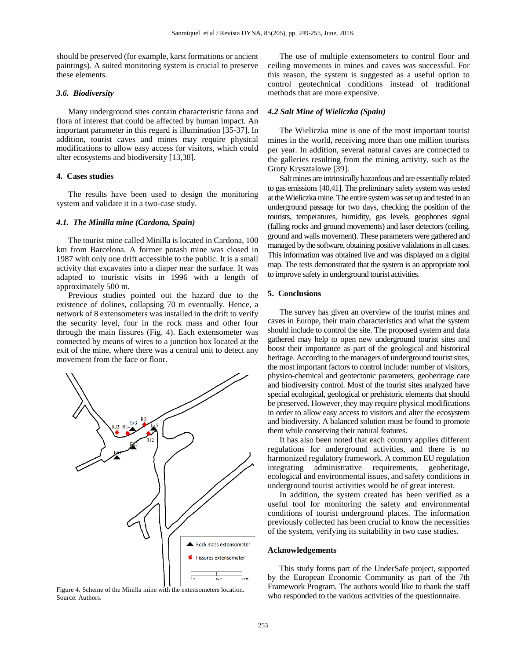should be preserved (for example, karst formations or ancient paintings). A suited monitoring system is crucial to preserve these elements.

## *3.6. Biodiversity*

Many underground sites contain characteristic fauna and flora of interest that could be affected by human impact. An important parameter in this regard is illumination [35-37]. In addition, tourist caves and mines may require physical modifications to allow easy access for visitors, which could alter ecosystems and biodiversity [13,38].

# **4. Cases studies**

The results have been used to design the monitoring system and validate it in a two-case study.

#### *4.1. The Minilla mine (Cardona, Spain)*

The tourist mine called Minilla is located in Cardona, 100 km from Barcelona. A former potash mine was closed in 1987 with only one drift accessible to the public. It is a small activity that excavates into a diaper near the surface. It was adapted to touristic visits in 1996 with a length of approximately 500 m.

Previous studies pointed out the hazard due to the existence of dolines, collapsing 70 m eventually. Hence, a network of 8 extensometers was installed in the drift to verify the security level, four in the rock mass and other four through the main fissures (Fig. 4). Each extensometer was connected by means of wires to a junction box located at the exit of the mine, where there was a central unit to detect any movement from the face or floor.



Figure 4. Scheme of the Minilla mine with the extensometers location. Source: Authors.

The use of multiple extensometers to control floor and ceiling movements in mines and caves was successful. For this reason, the system is suggested as a useful option to control geotechnical conditions instead of traditional methods that are more expensive.

## *4.2 Salt Mine of Wieliczka (Spain)*

The Wieliczka mine is one of the most important tourist mines in the world, receiving more than one million tourists per year. In addition, several natural caves are connected to the galleries resulting from the mining activity, such as the Groty Krysztalowe [39].

Salt mines are intrinsically hazardous and are essentially related to gas emissions [40,41]. The preliminary safety system was tested at the Wieliczka mine. The entire system was set up and tested in an underground passage for two days, checking the position of the tourists, temperatures, humidity, gas levels, geophones signal (falling rocks and ground movements) and laser detectors (ceiling, ground and walls movement). These parameters were gathered and managed by the software, obtaining positive validations in all cases. This information was obtained live and was displayed on a digital map. The tests demonstrated that the system is an appropriate tool to improve safety in underground tourist activities.

## **5. Conclusions**

The survey has given an overview of the tourist mines and caves in Europe, their main characteristics and what the system should include to control the site. The proposed system and data gathered may help to open new underground tourist sites and boost their importance as part of the geological and historical heritage. According to the managers of underground tourist sites, the most important factors to control include: number of visitors, physico-chemical and geotectonic parameters, geoheritage care and biodiversity control. Most of the tourist sites analyzed have special ecological, geological or prehistoric elements that should be preserved. However, they may require physical modifications in order to allow easy access to visitors and alter the ecosystem and biodiversity. A balanced solution must be found to promote them while conserving their natural features.

It has also been noted that each country applies different regulations for underground activities, and there is no harmonized regulatory framework. A common EU regulation integrating administrative requirements, geoheritage, ecological and environmental issues, and safety conditions in underground tourist activities would be of great interest.

In addition, the system created has been verified as a useful tool for monitoring the safety and environmental conditions of tourist underground places. The information previously collected has been crucial to know the necessities of the system, verifying its suitability in two case studies.

## **Acknowledgements**

This study forms part of the UnderSafe project, supported by the European Economic Community as part of the 7th Framework Program. The authors would like to thank the staff who responded to the various activities of the questionnaire.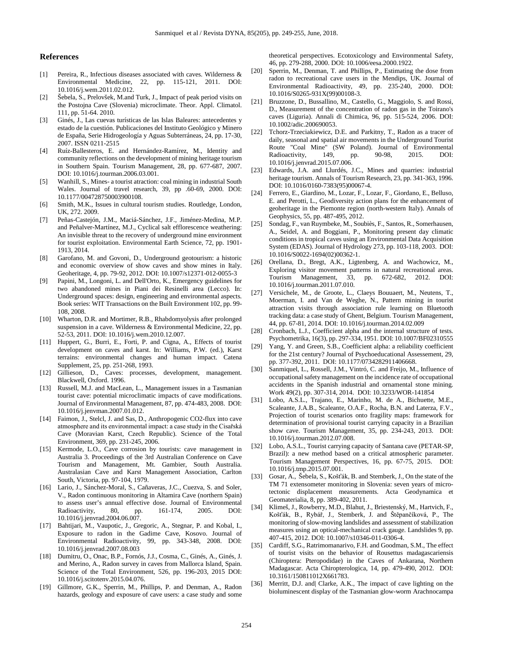## **References**

- [1] Pereira, R., Infectious diseases associated with caves. Wilderness & Environmental Medicine, 22, pp. 115-121, 2011. DOI: 10.1016/j.wem.2011.02.012.
- [2] Šebela, S., Prelovšek, M.and Turk, J., Impact of peak period visits on the Postojna Cave (Slovenia) microclimate. Theor. Appl. Climatol. 111, pp. 51-64. 2010.
- [3] Ginés, J., Las cuevas turísticas de las Islas Baleares: antecedentes y estado de la cuestión. Publicaciones del Instituto Geológico y Minero de España, Serie Hidrogeología y Aguas Subterráneas, 24, pp. 17-30, 2007. ISSN 0211-2515
- [4] Ruíz-Ballesteros, E. and Hernández-Ramírez, M., Identity and community reflections on the development of mining heritage tourism in Southern Spain. Tourism Management, 28, pp. 677-687, 2007. DOI: 10.1016/j.tourman.2006.03.001.
- Wanhill, S., Mines- a tourist atraction: coal mining in industrial South Wales. Journal of travel research, 39, pp .60-69, 2000. DOI: 10.1177/004728750003900108.
- [6] Smith, M.K., Issues in cultural tourism studies. Routledge, London, UK, 272. 2009.
- [7] Peñas-Castejón, J.M., Maciá-Sánchez, J.F., Jiménez-Medina, M.P. and Peñalver-Martínez, M.J., Cyclical salt efflorescence weathering: An invisible threat to the recovery of underground mine environment for tourist exploitation. Environmental Earth Science, 72, pp. 1901- 1913, 2014.
- [8] Garofano, M. and Govoni, D., Underground geotourism: a historic and economic overview of show caves and show mines in Italy. Geoheritage, 4, pp. 79-92, 2012. DOI: 10.1007/s12371-012-0055-3
- [9] [Papini, M., Longoni, L.](https://apps.webofknowledge.com/OneClickSearch.do?product=WOS&search_mode=OneClickSearch&colName=WOS&SID=3EJ6FP2L8jKE3k5kMD5&field=AU&value=Papini,%20M) an[d Dell'Orto, K.,](https://apps.webofknowledge.com/OneClickSearch.do?product=WOS&search_mode=OneClickSearch&colName=WOS&SID=3EJ6FP2L8jKE3k5kMD5&field=AU&value=Dell%27Orto,%20K) Emergency guidelines for two abandoned mines in Piani dei Resinelli area (Lecco). In: Underground spaces: design, engineering and environmental aspects. Book series: WIT Transactions on the Built Environment 102, pp. 99- 108, 2008.
- [10] Wharton, D.R. and Mortimer, R.B., Rhabdomyolysis after prolonged suspension in a cave. Wilderness & Environmental Medicine, 22, pp. 52-53, 2011. DOI: 10.1016/j.wem.2010.12.007.
- [11] Huppert, G., Burri, E., Forti, P. and Cigna, A., Effects of tourist development on caves and karst. In: Williams, P.W. (ed.), Karst terrains: environmental changes and human impact. Catena Supplement, 25, pp. 251-268, 1993.
- [12] Gillieson, D., Caves: processes, development, management. Blackwell, Oxford. 1996.
- [13] Russell, M.J. and MacLean, L., Management issues in a Tasmanian tourist cave: potential microclimatic impacts of cave modifications. Journal of Environmental Management, 87, pp. 474-483, 2008. DOI: 10.1016/j.jenvman.2007.01.012.
- [14] Faimon, J., Stelcl, J. and Sas, D., Anthropogenic CO2-flux into cave atmosphere and its environmental impact: a case study in the Cisařská Cave (Moravian Karst, Czech Republic). Science of the Total Environment, 369, pp. 231-245, 2006.
- [15] Kermode, L.O., Cave corrosion by tourists: cave management in Australia 3. Proceedings of the 3rd Australian Conference on Cave Tourism and Management, Mt. Gambier, South Australia. Australasian Cave and Karst Management Association, Carlton South, Victoria, pp. 97-104, 1979.
- [16] Lario, J., Sánchez-Moral, S., Cañaveras, J.C., Cuezva, S. and Soler, V., Radon continuous monitoring in Altamira Cave (northern Spain) to assess user's annual effective dose. Journal of Environmental<br>Radioactivity 80 pp. 161-174 2005 DOI: Radioactivity, 80, pp. 161-174, 2005. DOI: 10.1016/j.jenvrad.2004.06.007.
- [17] Bahtijari, M., Vaupotic, J., Gregoric, A., Stegnar, P. and Kobal, I., Exposure to radon in the Gadime Cave, Kosovo. Journal of Environmental Radioactivity, 99, pp. 343-348, 2008. DOI: 10.1016/j.jenvrad.2007.08.003
- [18] Dumitru, O., Onac, B.P., Fornós, J.J., Cosma, C., Ginés, A., Ginés, J. and Merino, A., Radon survey in caves from Mallorca Island, Spain. Science of the Total Environment, 526, pp. 196-203, 2015 DOI: 10.1016/j.scitotenv.2015.04.076.
- [19] Gillmore, G.K., Sperrin, M., Phillips, P. and Denman, A., Radon hazards, geology and exposure of cave users: a case study and some

theoretical perspectives. Ecotoxicology and Environmental Safety, 46, pp. 279-288, 2000. DOI: 10.1006/eesa.2000.1922.

- [20] Sperrin, M., Denman, T. and Phillips, P., Estimating the dose from radon to recreational cave users in the Mendips, UK. Journal of Environmental Radioactivity, 49, pp. 235-240, 2000. DOI: 10.1016/S0265-931X(99)00108-3.
- [21] Bruzzone, D., Bussallino, M., Castello, G., Maggiolo, S. and Rossi, D., Measurement of the concentration of radon gas in the Toirano's caves (Liguria). Annali di Chimica, 96, pp. 515-524, 2006. DOI: 10.1002/adic.200690053.
- [22] Tchorz-Trzeciakiewicz, D.E. and Parkitny, T., Radon as a tracer of daily, seasonal and spatial air movements in the Underground Tourist Route "Coal Mine" (SW Poland). Journal of Environmental Radioactivity, 149, pp. 90-98, 2015. DOI: Radioactivity, 149, pp. 10.1016/j.jenvrad.2015.07.006.
- [23] Edwards, J.A. and Llurdés, J.C., Mines and quarries: industrial heritage tourism. Annals of Tourism Research, 23, pp. 341-363, 1996. DOI: 10.1016/0160-7383(95)00067-4.
- [24] Ferrero, E., Giardino, M., Lozar, F., Lozar, F., Giordano, E., Belluso, E. and Perotti, L., Geodiversity action plans for the enhancement of geoheritage in the Piemonte region (north-western Italy). Annals of Geophysics, 55, pp. 487-495, 2012.
- [25] Sondag, F., van Ruymbeke, M., Soubiès, F., Santos, R., Somerhausen, A., Seidel, A. and Boggiani, P., Monitoring present day climatic conditions in tropical caves using an Environmental Data Acquisition System (EDAS). Journal of Hydrology 273, pp. 103-118, 2003. DOI: 10.1016/S0022-1694(02)00362-1.
- [26] Orellana, D., Bregt, A.K., Ligtenberg, A. and Wachowicz, M., Exploring visitor movement patterns in natural recreational areas.<br>Tourism Management, 33, pp. 672-682, 2012. DOI: pp. 672-682, 2012. DOI: 10.1016/j.tourman.2011.07.010.
- [27] Versichele, M., de Groote, L., Claeys Bouuaert, M., Neutens, T., Moerman, I. and Van de Weghe, N., Pattern mining in tourist attraction visits through association rule learning on Bluetooth tracking data: a case study of Ghent, Belgium. Tourism Management, 44, pp. 67-81, 2014. DOI: 10.1016/j.tourman.2014.02.009
- [28] Cronbach, L.J., Coefficient alpha and the internal structure of tests. Psychometrika, 16(3), pp. 297-334, 1951. DOI: 10.1007/BF02310555
- [29] Yang, Y. and Green, S.B., Coefficient alpha: a reliability coefficient for the 21st century? Journal of Psychoeducational Assessement, 29, pp. 377-392, 2011. DOI: 10.1177/0734282911406668.
- [30] Sanmiquel, L., Rossell, J.M., Vintró, C. and Freijo, M., Influence of occupational safety management on the incidence rate of occupational accidents in the Spanish industrial and ornamental stone mining. Work 49(2), pp. 307-314, 2014. DOI: 10.3233/WOR-141854
- [31] Lobo, A.S.L., Trajano, E., Marinho, M. de A., Bichuette, M.E., Scaleante, J.A.B., Scaleante, O.A.F., Rocha, B.N. and Laterza, F.V., Projection of tourist scenarios onto fragility maps: framework for determination of provisional tourist carrying capacity in a Brazilian show cave. Tourism Management, 35, pp. 234-243, 2013. DOI: 10.1016/j.tourman.2012.07.008.
- [32] Lobo, A.S.L., Tourist carrying capacity of Santana cave (PETAR-SP, Brazil): a new method based on a critical atmospheric parameter. Tourism Management Perspectives, 16, pp. 67-75, 2015. DOI: 10.1016/j.tmp.2015.07.001.
- [33] [Gosar, A.,](http://www.scopus.com/authid/detail.url?authorId=6601989284&eid=2-s2.0-84855591031) [Šebela, S.,](http://www.scopus.com/authid/detail.url?authorId=6506800863&eid=2-s2.0-84855591031) [Košťák, B](http://www.scopus.com/authid/detail.url?authorId=6601998284&eid=2-s2.0-84855591031). an[d Stemberk, J.,](http://www.scopus.com/authid/detail.url?authorId=9274232100&eid=2-s2.0-84855591031) [On the state of the](http://www.scopus.com/record/display.url?eid=2-s2.0-84855591031&origin=resultslist&sort=plf-f&src=s&st1=show+caves&nlo=&nlr=&nls=&sid=AB59D8F2BA50683587C614B098B8ADED.zQKnzAySRvJOZYcdfIziQ%3a290&sot=b&sdt=sisr&sl=25&s=TITLE-ABS-KEY%28show+caves%29&ref=%28%28%28monitoring%29%29+AND+%28movement%29%29+AND+%28extensometer%29&relpos=2&relpos=2&searchTerm=%28TITLE-ABS-KEY%28show+caves%29%29+AND+%28%28%28monitoring%29%29+AND+%28movement%29%29+AND+%28extensometer%29)  [TM 71 extensometer monitoring in Slovenia: seven years of micro](http://www.scopus.com/record/display.url?eid=2-s2.0-84855591031&origin=resultslist&sort=plf-f&src=s&st1=show+caves&nlo=&nlr=&nls=&sid=AB59D8F2BA50683587C614B098B8ADED.zQKnzAySRvJOZYcdfIziQ%3a290&sot=b&sdt=sisr&sl=25&s=TITLE-ABS-KEY%28show+caves%29&ref=%28%28%28monitoring%29%29+AND+%28movement%29%29+AND+%28extensometer%29&relpos=2&relpos=2&searchTerm=%28TITLE-ABS-KEY%28show+caves%29%29+AND+%28%28%28monitoring%29%29+AND+%28movement%29%29+AND+%28extensometer%29)[tectonic displacement measurements.](http://www.scopus.com/record/display.url?eid=2-s2.0-84855591031&origin=resultslist&sort=plf-f&src=s&st1=show+caves&nlo=&nlr=&nls=&sid=AB59D8F2BA50683587C614B098B8ADED.zQKnzAySRvJOZYcdfIziQ%3a290&sot=b&sdt=sisr&sl=25&s=TITLE-ABS-KEY%28show+caves%29&ref=%28%28%28monitoring%29%29+AND+%28movement%29%29+AND+%28extensometer%29&relpos=2&relpos=2&searchTerm=%28TITLE-ABS-KEY%28show+caves%29%29+AND+%28%28%28monitoring%29%29+AND+%28movement%29%29+AND+%28extensometer%29) Acta Geodynamica et Geomaterialia, 8, pp. 389-402, 2011.
- [34] [Klimeš, J.,](http://www.scopus.com/authid/detail.url?authorId=22985051900&eid=2-s2.0-84865805333) [Rowberry, M.D.,](http://www.scopus.com/authid/detail.url?authorId=39661393200&eid=2-s2.0-84865805333) [Blahut, J.,](http://www.scopus.com/authid/detail.url?authorId=27267487700&eid=2-s2.0-84865805333) [Briestenský, M.,](http://www.scopus.com/authid/detail.url?authorId=23018185800&eid=2-s2.0-84865805333) [Hartvich, F.,](http://www.scopus.com/authid/detail.url?authorId=22985257400&eid=2-s2.0-84865805333)  [Košťák, B.](http://www.scopus.com/authid/detail.url?authorId=6601998284&eid=2-s2.0-84865805333), [Rybář, J.](http://www.scopus.com/authid/detail.url?authorId=6603041108&eid=2-s2.0-84865805333), [Stemberk, J.](http://www.scopus.com/authid/detail.url?authorId=9274232100&eid=2-s2.0-84865805333) and [Štěpančíková, P.](http://www.scopus.com/authid/detail.url?authorId=15728493400&eid=2-s2.0-84865805333), The monitoring of slow-moving landslides and assessment of stabilization measures using an optical-mechanical crack gauge. Landslides 9, pp. 407-415, 2012. DOI: 10.1007/s10346-011-0306-4.
- [35] Cardiff, S.G.[, Ratrimomanarivo, F.H.](http://www.scopus.com/authid/detail.url?authorId=11241305100&eid=2-s2.0-84873165574) an[d Goodman, S.M.,](http://www.scopus.com/authid/detail.url?authorId=55575962600&eid=2-s2.0-84873165574) The effect of tourist visits on the behavior of Rousettus madagascariensis (Chiroptera: Pteropodidae) in the Caves of Ankarana, Northern Madagascar. [Acta Chiropterologica,](http://www.scopus.com/source/sourceInfo.url?sourceId=24079&origin=recordpage) 14, pp. 479-490, 2012. DOI: 10.3161/150811012X661783.
- [36] Merritt, D.J. and Clarke, A.K., The impact of cave lighting on the bioluminescent display of the Tasmanian glow-worm Arachnocampa